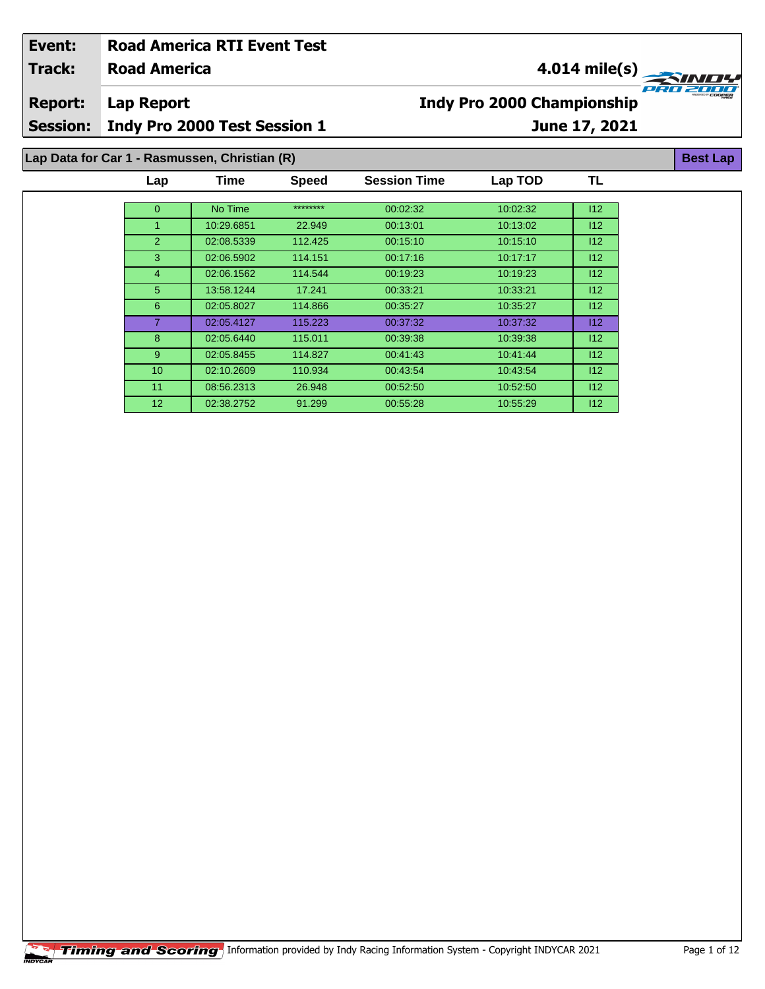| Event:                                        |                              | <b>Road America RTI Event Test</b> |              |                                   |               |           |  |  |
|-----------------------------------------------|------------------------------|------------------------------------|--------------|-----------------------------------|---------------|-----------|--|--|
| <b>Track:</b>                                 | <b>Road America</b>          |                                    |              |                                   | 4.014 mile(s) |           |  |  |
| <b>Report:</b>                                | <b>Lap Report</b>            |                                    |              | <b>Indy Pro 2000 Championship</b> | C 200         |           |  |  |
| <b>Session:</b>                               | Indy Pro 2000 Test Session 1 | June 17, 2021                      |              |                                   |               |           |  |  |
| Lap Data for Car 1 - Rasmussen, Christian (R) |                              |                                    |              |                                   |               |           |  |  |
|                                               | Lap                          | <b>Time</b>                        | <b>Speed</b> | <b>Session Time</b>               | Lap TOD       | <b>TL</b> |  |  |
|                                               | $\overline{0}$               | No Time                            | ********     | 00:02:32                          | 10:02:32      | 112       |  |  |
|                                               |                              | 10:29.6851                         | 22.949       | 00:13:01                          | 10:13:02      | 112       |  |  |
|                                               | $\overline{2}$               | 02:08.5339                         | 112.425      | 00:15:10                          | 10:15:10      | 112       |  |  |
|                                               | 3                            | 02:06.5902                         | 114.151      | 00.17.16                          | 10.17.17      | 112       |  |  |
|                                               | 4                            | 02:06.1562                         | 114.544      | 00:19:23                          | 10:19:23      | 112       |  |  |
|                                               | 5                            | 13:58.1244                         | 17.241       | 00:33:21                          | 10:33:21      | 112       |  |  |
|                                               | 6                            | 02:05.8027                         | 114.866      | 00:35:27                          | 10:35:27      | 112       |  |  |

 02:05.4127 115.223 00:37:32 10:37:32 I12 02:05.6440 115.011 00:39:38 10:39:38 I12 02:05.8455 114.827 00:41:43 10:41:44 I12 02:10.2609 110.934 00:43:54 10:43:54 I12 08:56.2313 26.948 00:52:50 10:52:50 I12 02:38.2752 91.299 00:55:28 10:55:29 I12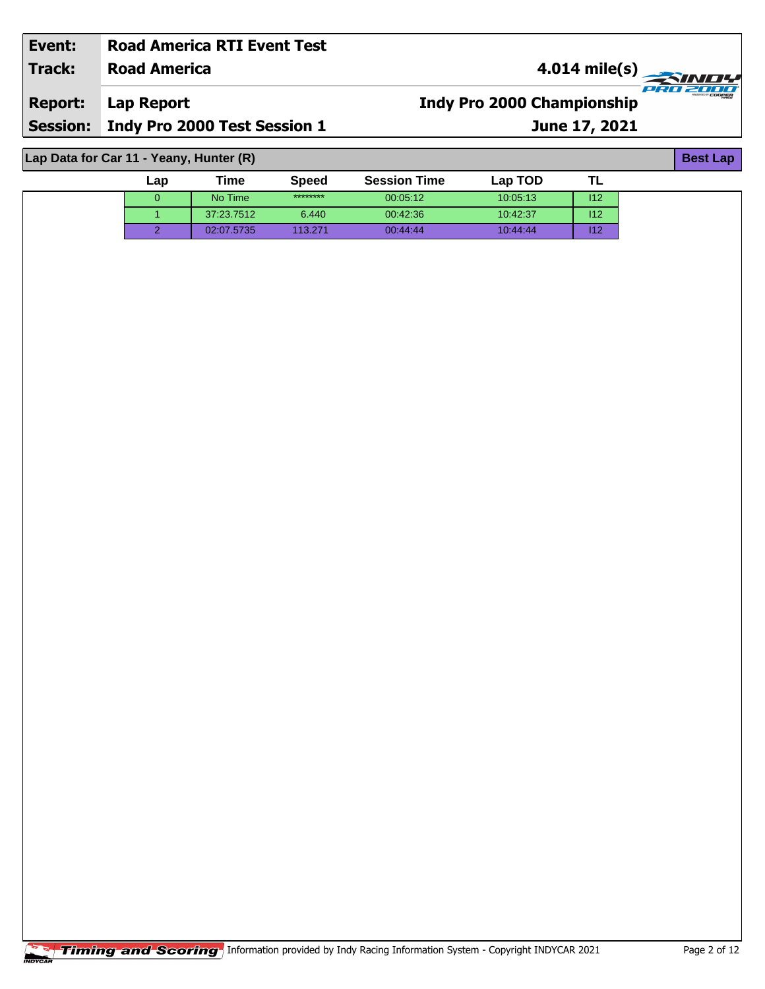| Event:                                  | <b>Road America RTI Event Test</b>    |                                       |  |  |  |  |  |  |  |
|-----------------------------------------|---------------------------------------|---------------------------------------|--|--|--|--|--|--|--|
| Track:                                  | <b>Road America</b>                   | $\overline{\phantom{a}4.014}$ mile(s) |  |  |  |  |  |  |  |
| <b>Report:</b>                          | Lap Report                            | <b>Indy Pro 2000 Championship</b>     |  |  |  |  |  |  |  |
|                                         | Session: Indy Pro 2000 Test Session 1 | June 17, 2021                         |  |  |  |  |  |  |  |
|                                         |                                       |                                       |  |  |  |  |  |  |  |
| Lap Data for Car 11 - Yeany, Hunter (R) |                                       |                                       |  |  |  |  |  |  |  |

0 No Time \*\*\*\*\*\*\*\* 00:05:12 10:05:13 I12 1 37:23.7512 6.440 00:42:36 10:42:37 I12 2 02:07.5735 113.271 00:44:44 10:44:44 I12

**TL**

**Lap Time Speed Session Time Lap TOD**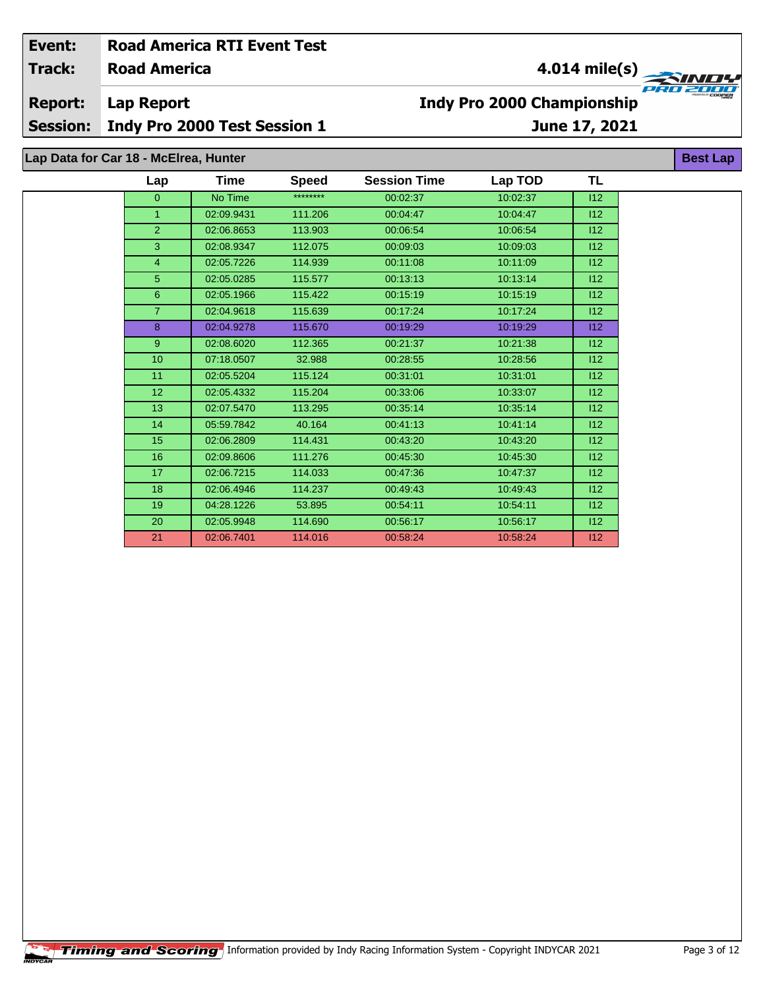| Event:                       | <b>Road America RTI Event Test</b>    |                              |              |                                                               |          |               |                 |  |  |  |
|------------------------------|---------------------------------------|------------------------------|--------------|---------------------------------------------------------------|----------|---------------|-----------------|--|--|--|
| <b>Track:</b>                | <b>Road America</b>                   |                              |              | 4.014 mile(s)<br><b>SINDY</b>                                 |          |               |                 |  |  |  |
| <b>Report:</b><br>Lap Report |                                       |                              |              | $PI \times II \times II$<br><b>Indy Pro 2000 Championship</b> |          |               |                 |  |  |  |
| <b>Session:</b>              |                                       | Indy Pro 2000 Test Session 1 |              |                                                               |          | June 17, 2021 |                 |  |  |  |
|                              | Lap Data for Car 18 - McElrea, Hunter |                              |              |                                                               |          |               | <b>Best Lap</b> |  |  |  |
|                              | Lap                                   | Time                         | <b>Speed</b> | <b>Session Time</b>                                           | Lap TOD  | TL            |                 |  |  |  |
|                              | 0                                     | No Time                      | ********     | 00:02:37                                                      | 10:02:37 | 112           |                 |  |  |  |
|                              |                                       | 02:09.9431                   | 111.206      | 00:04:47                                                      | 10:04:47 | 112           |                 |  |  |  |
|                              | $\mathcal{P}$                         | 02:06.8653                   | 113.903      | 00:06:54                                                      | 10:06:54 | 112           |                 |  |  |  |
|                              | 3                                     | 02:08.9347                   | 112.075      | 00:09:03                                                      | 10:09:03 | 112           |                 |  |  |  |
|                              | 4                                     | 02:05.7226                   | 114.939      | 00:11:08                                                      | 10:11:09 | 112           |                 |  |  |  |

 02:05.0285 115.577 00:13:13 10:13:14 I12 02:05.1966 115.422 00:15:19 10:15:19 I12 02:04.9618 115.639 00:17:24 10:17:24 I12 02:04.9278 115.670 00:19:29 10:19:29 I12 02:08.6020 112.365 00:21:37 10:21:38 I12 10 07:18.0507 32.988 00:28:55 10:28:56 112 11 02:05.5204 115.124 00:31:01 10:31:01 10:31:01 112 02:05.4332 115.204 00:33:06 10:33:07 I12 02:07.5470 113.295 00:35:14 10:35:14 I12 05:59.7842 40.164 00:41:13 10:41:14 I12 02:06.2809 114.431 00:43:20 10:43:20 I12 02:09.8606 111.276 00:45:30 10:45:30 I12 02:06.7215 114.033 00:47:36 10:47:37 I12 02:06.4946 114.237 00:49:43 10:49:43 I12 19 04:28.1226 53.895 00:54:11 10:54:11 12 02:05.9948 114.690 00:56:17 10:56:17 I12 02:06.7401 114.016 00:58:24 10:58:24 I12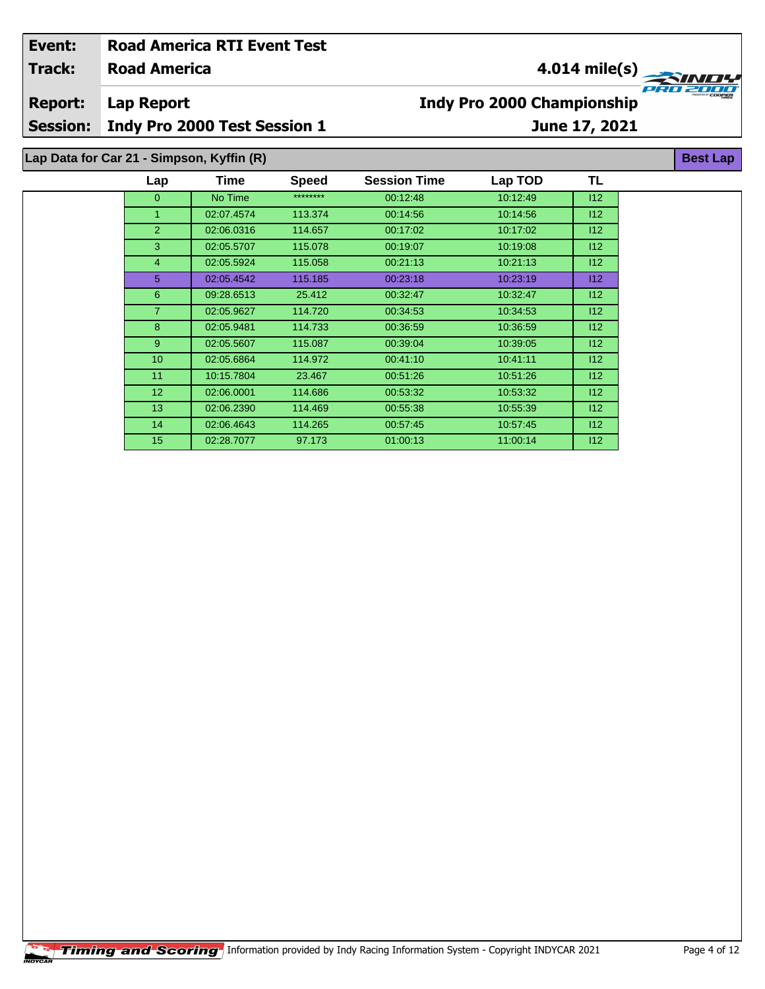| Event:          |                                           | <b>Road America RTI Event Test</b> |              |                     |                                   |     |                 |  |  |
|-----------------|-------------------------------------------|------------------------------------|--------------|---------------------|-----------------------------------|-----|-----------------|--|--|
| <b>Track:</b>   | <b>Road America</b>                       |                                    |              | 4.014 mile(s)       |                                   |     |                 |  |  |
| <b>Report:</b>  | <b>Lap Report</b>                         |                                    |              |                     | <b>Indy Pro 2000 Championship</b> |     |                 |  |  |
| <b>Session:</b> |                                           | Indy Pro 2000 Test Session 1       |              | June 17, 2021       |                                   |     |                 |  |  |
|                 | Lap Data for Car 21 - Simpson, Kyffin (R) |                                    |              |                     |                                   |     | <b>Best Lap</b> |  |  |
|                 | Lap                                       | Time                               | <b>Speed</b> | <b>Session Time</b> | Lap TOD                           | TL  |                 |  |  |
|                 | $\mathbf{0}$                              | No Time                            | ********     | 00:12:48            | 10:12:49                          | 112 |                 |  |  |
|                 |                                           | 02:07.4574                         | 113.374      | 00:14:56            | 10:14:56                          | 112 |                 |  |  |
|                 | $\overline{2}$                            | 02:06.0316                         | 114.657      | 00:17:02            | 10:17:02                          | 112 |                 |  |  |
|                 | 3                                         | 02:05.5707                         | 115.078      | 00:19:07            | 10:19:08                          | 112 |                 |  |  |
|                 | 4                                         | 02:05.5924                         | 115.058      | 00:21:13            | 10:21:13                          | 112 |                 |  |  |
|                 | 5                                         | 02:05.4542                         | 115.185      | 00:23:18            | 10:23:19                          | 112 |                 |  |  |
|                 | 6                                         | 09:28.6513                         | 25.412       | 00:32:47            | 10:32:47                          | 112 |                 |  |  |
|                 | $\overline{7}$                            | 02:05.9627                         | 114.720      | 00:34:53            | 10:34:53                          | 112 |                 |  |  |
|                 | 8                                         | 02:05.9481                         | 114.733      | 00:36:59            | 10:36:59                          | 112 |                 |  |  |
|                 | 9                                         | 02:05.5607                         | 115.087      | 00:39:04            | 10:39:05                          | 112 |                 |  |  |
|                 | 10                                        | 02:05.6864                         | 114.972      | 00:41:10            | 10:41:11                          | 112 |                 |  |  |
|                 | 11                                        | 10:15.7804                         | 23.467       | 00:51:26            | 10:51:26                          | 112 |                 |  |  |

 02:06.0001 114.686 00:53:32 10:53:32 I12 02:06.2390 114.469 00:55:38 10:55:39 I12 02:06.4643 114.265 00:57:45 10:57:45 I12 02:28.7077 97.173 01:00:13 11:00:14 I12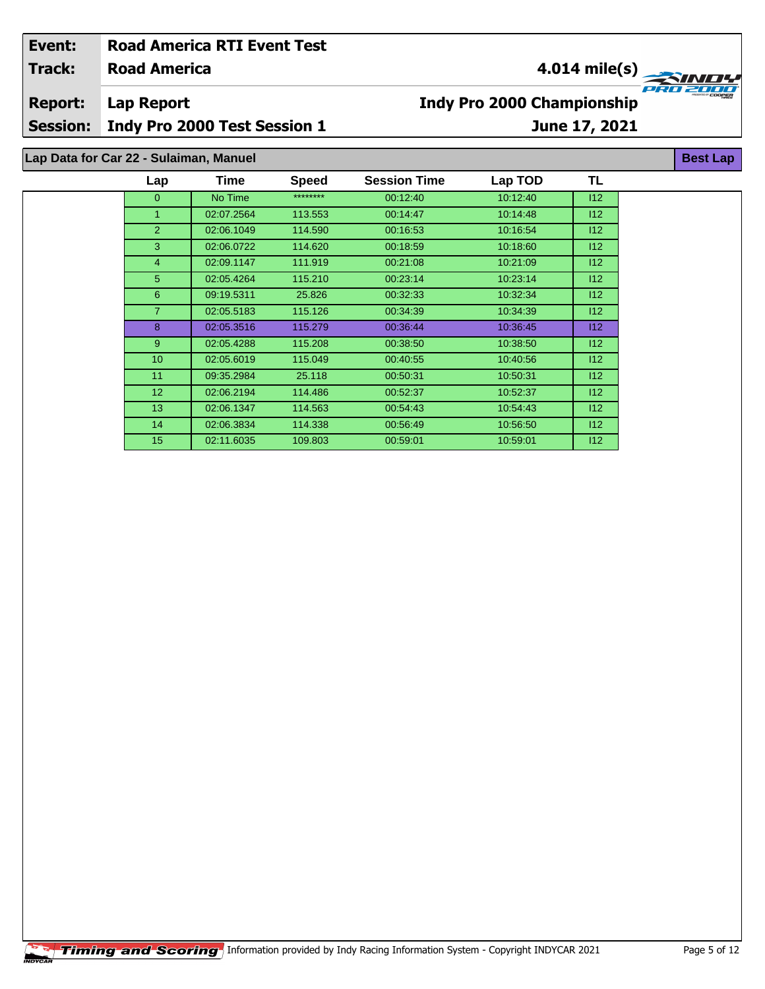| Event:          |                                        | <b>Road America RTI Event Test</b> |              |                                                                              |          |     |                 |  |
|-----------------|----------------------------------------|------------------------------------|--------------|------------------------------------------------------------------------------|----------|-----|-----------------|--|
| <b>Track:</b>   | <b>Road America</b>                    |                                    |              | 4.014 mile(s)<br>e e c<br><b>Indy Pro 2000 Championship</b><br>June 17, 2021 |          |     |                 |  |
| <b>Report:</b>  | <b>Lap Report</b>                      |                                    |              |                                                                              |          |     |                 |  |
| <b>Session:</b> |                                        | Indy Pro 2000 Test Session 1       |              |                                                                              |          |     |                 |  |
|                 | Lap Data for Car 22 - Sulaiman, Manuel |                                    |              |                                                                              |          |     | <b>Best Lap</b> |  |
|                 | Lap                                    | <b>Time</b>                        | <b>Speed</b> | <b>Session Time</b>                                                          | Lap TOD  | TL  |                 |  |
|                 | $\overline{0}$                         | No Time                            | ********     | 00:12:40                                                                     | 10:12:40 | 112 |                 |  |
|                 | 1                                      | 02:07.2564                         | 113.553      | 00.14.47                                                                     | 10:14:48 | 112 |                 |  |
|                 | $\overline{2}$                         | 02:06.1049                         | 114.590      | 00:16:53                                                                     | 10:16:54 | 112 |                 |  |
|                 | 3                                      | 02:06.0722                         | 114.620      | 00:18:59                                                                     | 10:18:60 | 112 |                 |  |
|                 | 4                                      | 02:09.1147                         | 111.919      | 00:21:08                                                                     | 10:21:09 | 112 |                 |  |
|                 | 5                                      | 02:05.4264                         | 115.210      | 00:23:14                                                                     | 10:23:14 | 112 |                 |  |
|                 | 6                                      | 09:19.5311                         | 25.826       | 00:32:33                                                                     | 10:32:34 | 112 |                 |  |
|                 | $\overline{7}$                         | 02:05.5183                         | 115.126      | 00:34:39                                                                     | 10:34:39 | 112 |                 |  |
|                 | 8                                      | 02:05.3516                         | 115.279      | 00:36:44                                                                     | 10:36:45 | 112 |                 |  |
|                 | 9                                      | 02:05.4288                         | 115.208      | 00:38:50                                                                     | 10:38:50 | 112 |                 |  |

 02:05.6019 115.049 00:40:55 10:40:56 I12 09:35.2984 25.118 00:50:31 10:50:31 I12 02:06.2194 114.486 00:52:37 10:52:37 I12 02:06.1347 114.563 00:54:43 10:54:43 I12 02:06.3834 114.338 00:56:49 10:56:50 I12 02:11.6035 109.803 00:59:01 10:59:01 I12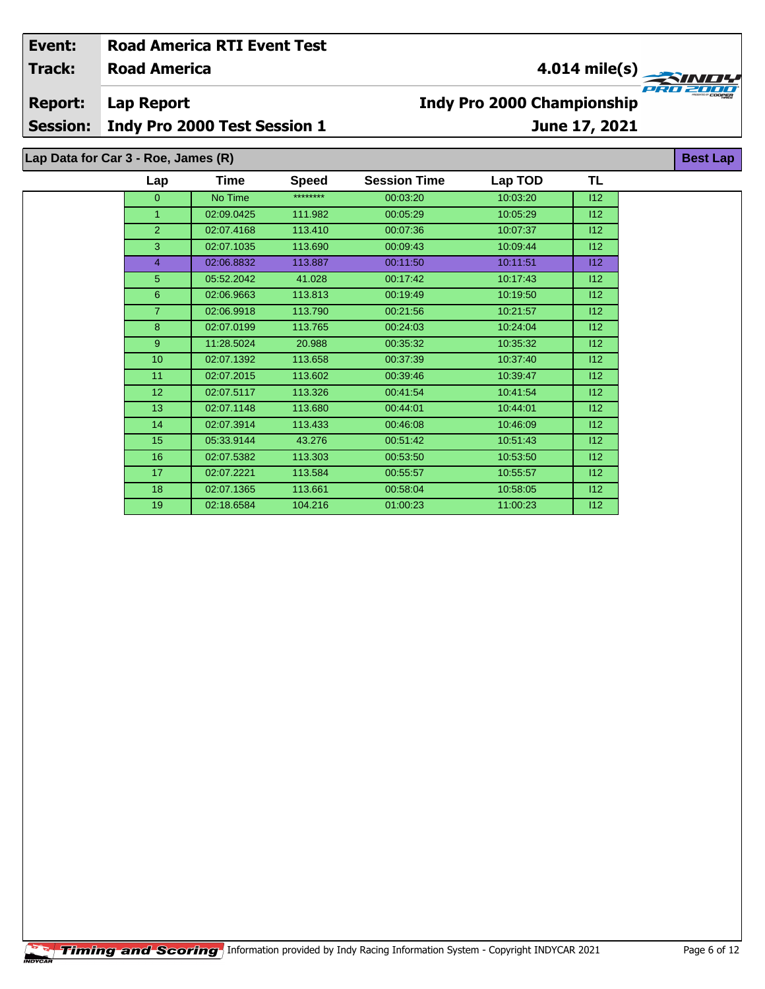| Event:                               | <b>Road America RTI Event Test</b>         |         |              |                                   |                           |     |                 |  |
|--------------------------------------|--------------------------------------------|---------|--------------|-----------------------------------|---------------------------|-----|-----------------|--|
| <b>Track:</b><br><b>Road America</b> |                                            |         |              | $4.014 \text{ mile(s)}$           |                           |     |                 |  |
| <b>Report:</b><br><b>Session:</b>    | Lap Report<br>Indy Pro 2000 Test Session 1 |         |              | <b>Indy Pro 2000 Championship</b> | PRO ZOUD<br>June 17, 2021 |     |                 |  |
|                                      | Lap Data for Car 3 - Roe, James (R)        |         |              |                                   |                           |     | <b>Best Lap</b> |  |
|                                      | Lap                                        | Time    | <b>Speed</b> | <b>Session Time</b>               | Lap TOD                   | TL  |                 |  |
|                                      | $\Omega$                                   | No Time | ********     | 00:03:20                          | 10:03:20                  | 112 |                 |  |

 02:09.0425 111.982 00:05:29 10:05:29 I12 02:07.4168 113.410 00:07:36 10:07:37 I12 02:07.1035 113.690 00:09:43 10:09:44 I12 02:06.8832 113.887 00:11:50 10:11:51 I12 05:52.2042 41.028 00:17:42 10:17:43 I12 02:06.9663 113.813 00:19:49 10:19:50 I12 02:06.9918 113.790 00:21:56 10:21:57 I12 02:07.0199 113.765 00:24:03 10:24:04 I12 9 11:28.5024 20.988 00:35:32 10:35:32 10:35:32 112 02:07.1392 113.658 00:37:39 10:37:40 I12 11 02:07.2015 113.602 00:39:46 10:39:47 | 112 02:07.5117 113.326 00:41:54 10:41:54 I12 13 02:07.1148 113.680 00:44:01 10:44:01 112 02:07.3914 113.433 00:46:08 10:46:09 I12 05:33.9144 43.276 00:51:42 10:51:43 I12 16 02:07.5382 113.303 00:53:50 10:53:50 10:53:50 12 02:07.2221 113.584 00:55:57 10:55:57 I12 02:07.1365 113.661 00:58:04 10:58:05 I12 02:18.6584 104.216 01:00:23 11:00:23 I12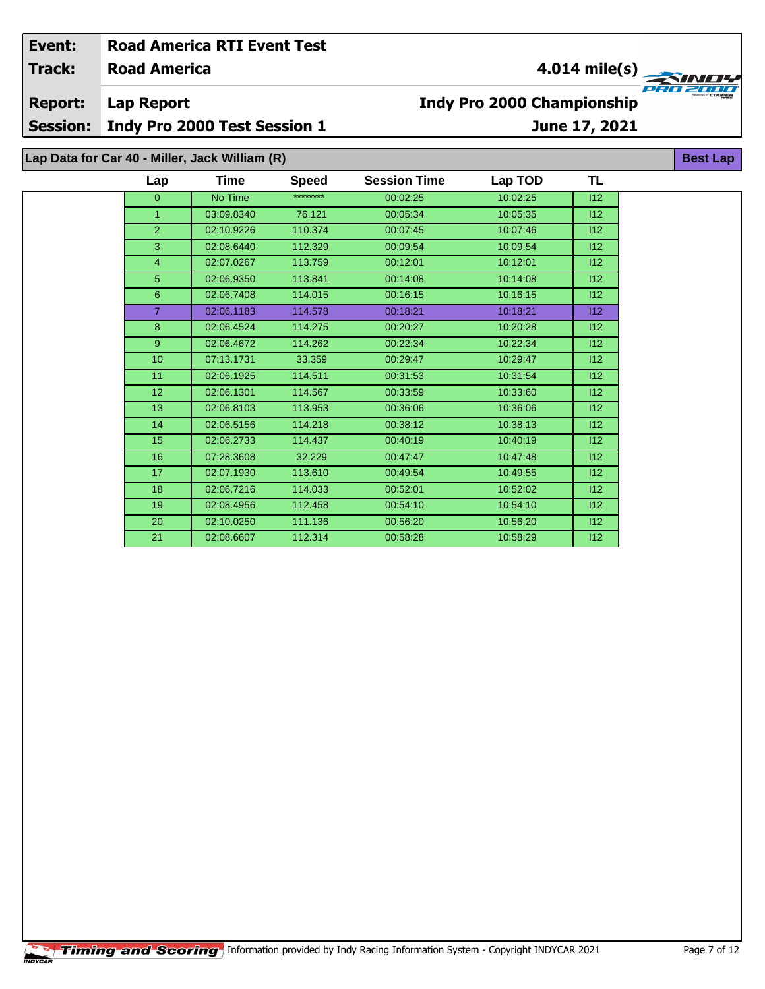| Event:                                                            |                     | <b>Road America RTI Event Test</b> |              |                     |                                   |                 |  |  |  |  |  |  |
|-------------------------------------------------------------------|---------------------|------------------------------------|--------------|---------------------|-----------------------------------|-----------------|--|--|--|--|--|--|
| <b>Track:</b>                                                     | <b>Road America</b> |                                    |              |                     |                                   | $4.014$ mile(s) |  |  |  |  |  |  |
| <b>Report:</b>                                                    | Lap Report          |                                    |              |                     | <b>Indy Pro 2000 Championship</b> |                 |  |  |  |  |  |  |
| <b>Session:</b>                                                   |                     | Indy Pro 2000 Test Session 1       |              |                     |                                   | June 17, 2021   |  |  |  |  |  |  |
| Lap Data for Car 40 - Miller, Jack William (R)<br><b>Best Lap</b> |                     |                                    |              |                     |                                   |                 |  |  |  |  |  |  |
|                                                                   | Lap                 | Time                               | <b>Speed</b> | <b>Session Time</b> | Lap TOD                           | TL              |  |  |  |  |  |  |
|                                                                   | $\overline{0}$      | No Time                            | ********     | 00:02:25            | 10:02:25                          | 112             |  |  |  |  |  |  |
|                                                                   | 1                   | 03:09.8340                         | 76.121       | 00:05:34            | 10:05:35                          | 112             |  |  |  |  |  |  |
|                                                                   | $\overline{2}$      | 02:10.9226                         | 110.374      | 00:07:45            | 10:07:46                          | 112             |  |  |  |  |  |  |
|                                                                   | 3                   | 02:08.6440                         | 112.329      | 00:09:54            | 10:09:54                          | 112             |  |  |  |  |  |  |
|                                                                   | $\overline{4}$      | 02:07.0267                         | 113.759      | 00:12:01            | 10:12:01                          | 112             |  |  |  |  |  |  |
|                                                                   | 5 <sup>5</sup>      | 02:06.9350                         | 113.841      | 00:14:08            | 10:14:08                          | 112             |  |  |  |  |  |  |
|                                                                   | 6                   | 02:06.7408                         | 114.015      | 00:16:15            | 10:16:15                          | 112             |  |  |  |  |  |  |
|                                                                   | $\overline{7}$      | 02:06.1183                         | 114.578      | 00:18:21            | 10:18:21                          | 112             |  |  |  |  |  |  |
|                                                                   | 8                   | 02:06.4524                         | 114.275      | 00:20:27            | 10:20:28                          | 112             |  |  |  |  |  |  |
|                                                                   | 9                   | 02:06.4672                         | 114.262      | 00:22:34            | 10:22:34                          | 112             |  |  |  |  |  |  |
|                                                                   | 10                  | 07:13.1731                         | 33.359       | 00:29:47            | 10:29:47                          | 112             |  |  |  |  |  |  |
|                                                                   | 11                  | 02:06.1925                         | 114.511      | 00:31:53            | 10:31:54                          | 112             |  |  |  |  |  |  |
|                                                                   | 12                  | 02:06.1301                         | 114.567      | 00:33:59            | 10:33:60                          | 112             |  |  |  |  |  |  |
|                                                                   | 13                  | 02:06.8103                         | 113.953      | 00:36:06            | 10:36:06                          | 112             |  |  |  |  |  |  |
|                                                                   | 14                  | 02:06.5156                         | 114.218      | 00:38:12            | 10:38:13                          | 112             |  |  |  |  |  |  |
|                                                                   | 15                  | 02:06.2733                         | 114.437      | 00:40:19            | 10:40:19                          | 112             |  |  |  |  |  |  |
|                                                                   | 16                  | 07:28.3608                         | 32.229       | 00:47:47            | 10:47:48                          | 112             |  |  |  |  |  |  |
|                                                                   | 17                  | 02:07.1930                         | 113.610      | 00:49:54            | 10:49:55                          | 112             |  |  |  |  |  |  |

 02:06.7216 114.033 00:52:01 10:52:02 I12 02:08.4956 112.458 00:54:10 10:54:10 I12 02:10.0250 111.136 00:56:20 10:56:20 I12 02:08.6607 112.314 00:58:28 10:58:29 I12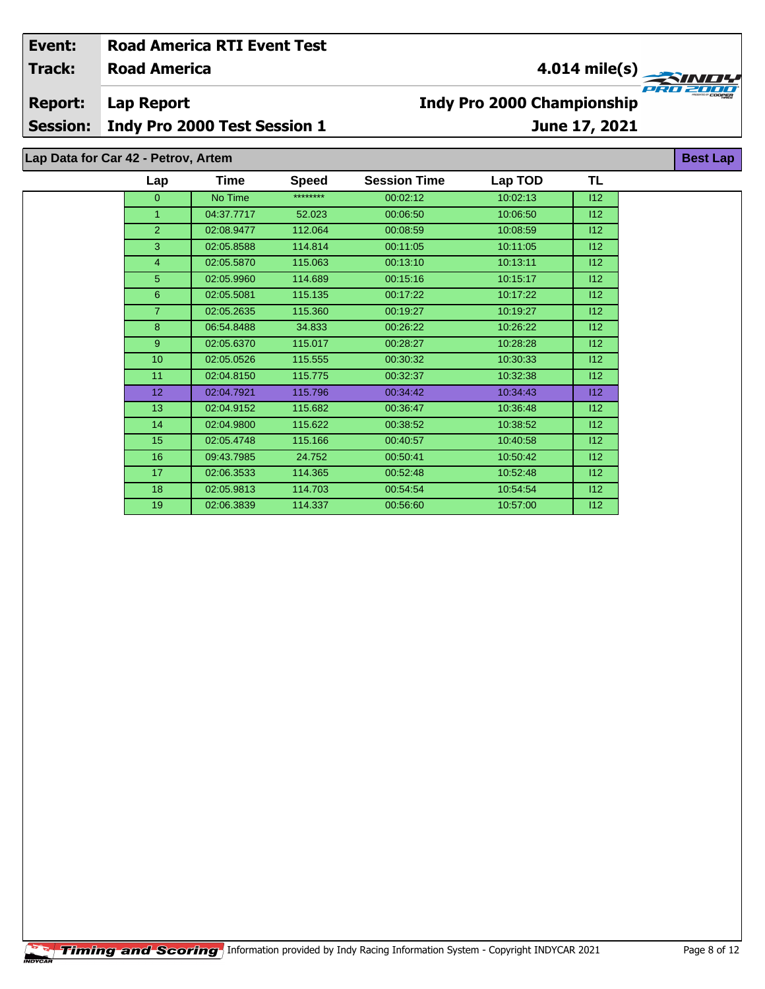## **Road America Lap Report June 17, 2021 Event: Road America RTI Event Test Track: Report: Session: Indy Pro 2000 Test Session 1 Indy Pro 2000 Championship 4.014 mile(s) Best Lap Lap Data for Car 42 - Petrov, Artem**

| Lap             | Time       | <b>Speed</b> | <b>Session Time</b> | Lap TOD  | TL  |  |
|-----------------|------------|--------------|---------------------|----------|-----|--|
| $\overline{0}$  | No Time    | ********     | 00:02:12            | 10:02:13 | 112 |  |
| 1               | 04:37.7717 | 52.023       | 00:06:50            | 10:06:50 | 112 |  |
| $\overline{2}$  | 02:08.9477 | 112.064      | 00:08:59            | 10:08:59 | 112 |  |
| 3               | 02:05.8588 | 114.814      | 00:11:05            | 10:11:05 | 112 |  |
| $\overline{4}$  | 02:05.5870 | 115.063      | 00:13:10            | 10:13:11 | 112 |  |
| $5^{\circ}$     | 02:05.9960 | 114.689      | 00:15:16            | 10:15:17 | 112 |  |
| 6               | 02:05.5081 | 115.135      | 00:17:22            | 10:17:22 | 112 |  |
| $\overline{7}$  | 02:05.2635 | 115.360      | 00:19:27            | 10:19:27 | 112 |  |
| 8               | 06:54.8488 | 34.833       | 00:26:22            | 10:26:22 | 112 |  |
| $9^{\circ}$     | 02:05.6370 | 115.017      | 00:28:27            | 10:28:28 | 112 |  |
| 10 <sup>1</sup> | 02:05.0526 | 115.555      | 00:30:32            | 10:30:33 | 112 |  |
| 11              | 02:04.8150 | 115.775      | 00:32:37            | 10:32:38 | 112 |  |
| 12 <sub>2</sub> | 02:04.7921 | 115.796      | 00:34:42            | 10:34:43 | 112 |  |
| 13              | 02:04.9152 | 115.682      | 00:36:47            | 10:36:48 | 112 |  |
| 14              | 02:04.9800 | 115.622      | 00:38:52            | 10:38:52 | 112 |  |
| 15              | 02:05.4748 | 115.166      | 00:40:57            | 10:40:58 | 112 |  |
| 16              | 09:43.7985 | 24.752       | 00:50:41            | 10:50:42 | 112 |  |
| 17              | 02:06.3533 | 114.365      | 00:52:48            | 10:52:48 | 112 |  |
| 18              | 02:05.9813 | 114.703      | 00:54:54            | 10:54:54 | 112 |  |
| 19              | 02:06.3839 | 114.337      | 00:56:60            | 10.57:00 | 112 |  |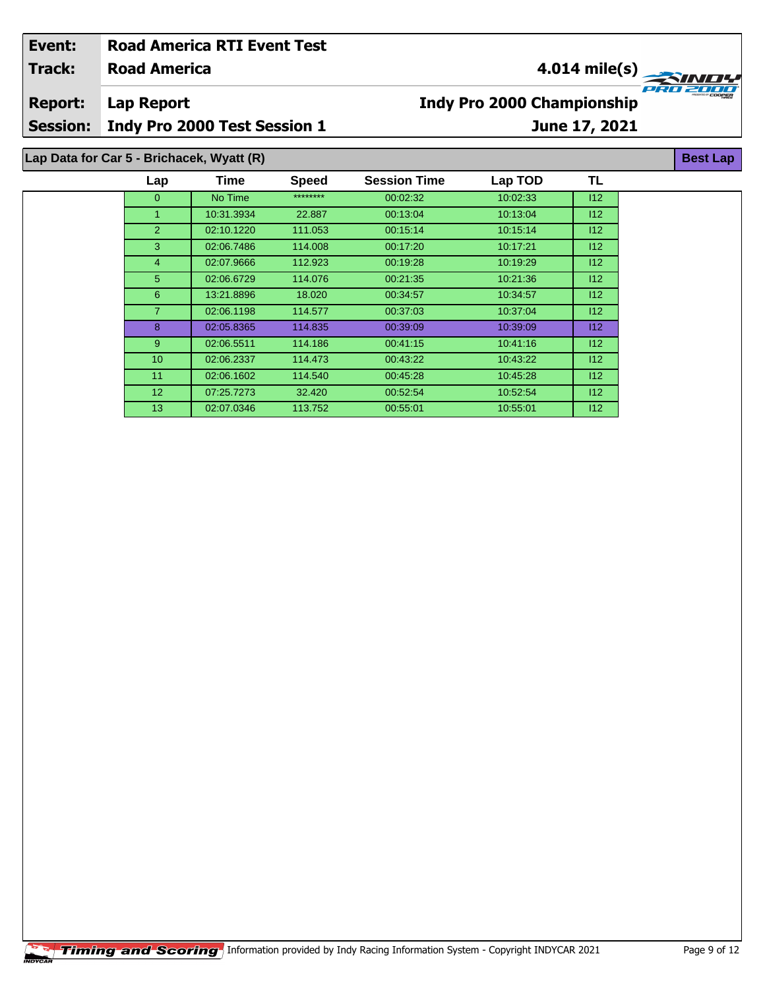| Event:          |                                           | <b>Road America RTI Event Test</b> |              |                                          |          |               |                 |  |
|-----------------|-------------------------------------------|------------------------------------|--------------|------------------------------------------|----------|---------------|-----------------|--|
| <b>Track:</b>   | <b>Road America</b>                       |                                    |              |                                          |          | 4.014 mile(s) |                 |  |
| <b>Report:</b>  | Lap Report                                |                                    |              | T/T<br><b>Indy Pro 2000 Championship</b> |          |               |                 |  |
| <b>Session:</b> |                                           | Indy Pro 2000 Test Session 1       |              |                                          |          | June 17, 2021 |                 |  |
|                 | Lap Data for Car 5 - Brichacek, Wyatt (R) |                                    |              |                                          |          |               | <b>Best Lap</b> |  |
|                 | Lap                                       | Time                               | <b>Speed</b> | <b>Session Time</b>                      | Lap TOD  | TL            |                 |  |
|                 | $\mathbf{0}$                              | No Time                            | ********     | 00:02:32                                 | 10:02:33 | 112           |                 |  |
|                 |                                           | 10:31.3934                         | 22.887       | 00:13:04                                 | 10:13:04 | 112           |                 |  |
|                 | 2                                         | 02:10.1220                         | 111.053      | 00.15.14                                 | 10:15:14 | 112           |                 |  |
|                 | 3                                         | 02:06.7486                         | 114.008      | 00:17:20                                 | 10:17:21 | 112           |                 |  |
|                 | 4                                         | 02:07.9666                         | 112.923      | 00:19:28                                 | 10:19:29 | 112           |                 |  |
|                 | 5.                                        | 02:06.6729                         | 114.076      | 00:21:35                                 | 10:21:36 | 112           |                 |  |
|                 | 6                                         | 13:21.8896                         | 18.020       | 00:34:57                                 | 10:34:57 | 112           |                 |  |
|                 |                                           | 02:06.1198                         | 114.577      | 00:37:03                                 | 10:37:04 | 112           |                 |  |
|                 | 8                                         | 02:05.8365                         | 114.835      | 00:39:09                                 | 10:39:09 | 112           |                 |  |
|                 | 9                                         | 02:06.5511                         | 114.186      | 00:41:15                                 | 10:41:16 | 112           |                 |  |

 02:06.2337 114.473 00:43:22 10:43:22 I12 02:06.1602 114.540 00:45:28 10:45:28 I12 07:25.7273 32.420 00:52:54 10:52:54 I12 02:07.0346 113.752 00:55:01 10:55:01 I12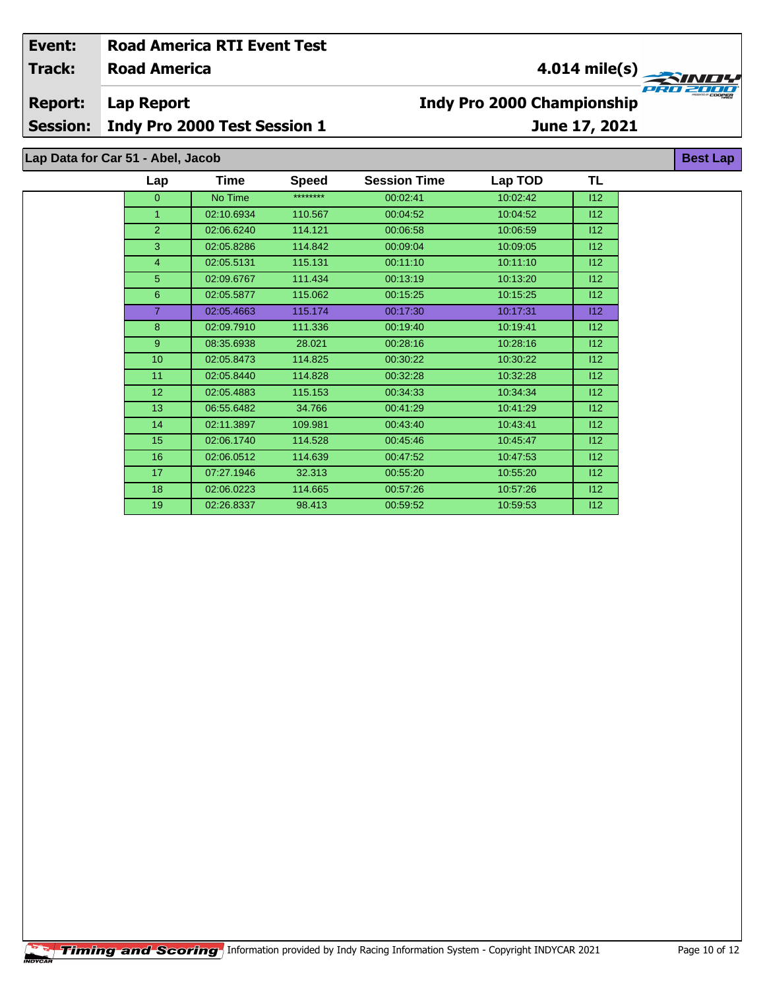## **Road America Lap Report June 17, 2021 Event: Road America RTI Event Test Track: Report: Session: Indy Pro 2000 Test Session 1 Indy Pro 2000 Championship 4.014 mile(s) Best Lap Lap Data for Car 51 - Abel, Jacob**

| Lap            | <b>Time</b> | <b>Speed</b> | <b>Session Time</b> | Lap TOD  | TL  |  |
|----------------|-------------|--------------|---------------------|----------|-----|--|
| $\overline{0}$ | No Time     | ********     | 00:02:41            | 10:02:42 | 112 |  |
| $\mathbf{1}$   | 02:10.6934  | 110.567      | 00:04:52            | 10:04:52 | 112 |  |
| $\overline{2}$ | 02:06.6240  | 114.121      | 00:06:58            | 10:06:59 | 112 |  |
| 3              | 02:05.8286  | 114.842      | 00:09:04            | 10:09:05 | 112 |  |
| $\overline{4}$ | 02:05.5131  | 115.131      | 00:11:10            | 10:11:10 | 112 |  |
| 5              | 02:09.6767  | 111.434      | 00:13:19            | 10:13:20 | 112 |  |
| 6              | 02:05.5877  | 115.062      | 00:15:25            | 10:15:25 | 112 |  |
| $\overline{7}$ | 02:05.4663  | 115.174      | 00:17:30            | 10:17:31 | 112 |  |
| 8              | 02:09.7910  | 111.336      | 00:19:40            | 10:19:41 | 112 |  |
| 9              | 08:35.6938  | 28.021       | 00:28:16            | 10:28:16 | 112 |  |
| 10             | 02:05.8473  | 114.825      | 00:30:22            | 10:30:22 | 112 |  |
| 11             | 02:05.8440  | 114.828      | 00:32:28            | 10:32:28 | 112 |  |
| 12             | 02:05.4883  | 115.153      | 00:34:33            | 10:34:34 | 112 |  |
| 13             | 06:55.6482  | 34.766       | 00:41:29            | 10:41:29 | 112 |  |
| 14             | 02:11.3897  | 109.981      | 00:43:40            | 10:43:41 | 112 |  |
| 15             | 02:06.1740  | 114.528      | 00:45:46            | 10:45:47 | 112 |  |
| 16             | 02:06.0512  | 114.639      | 00:47:52            | 10:47:53 | 112 |  |
| 17             | 07:27.1946  | 32.313       | 00:55:20            | 10:55:20 | 112 |  |
| 18             | 02:06.0223  | 114.665      | 00:57:26            | 10:57:26 | 112 |  |
| 19             | 02:26.8337  | 98.413       | 00:59:52            | 10:59:53 | 112 |  |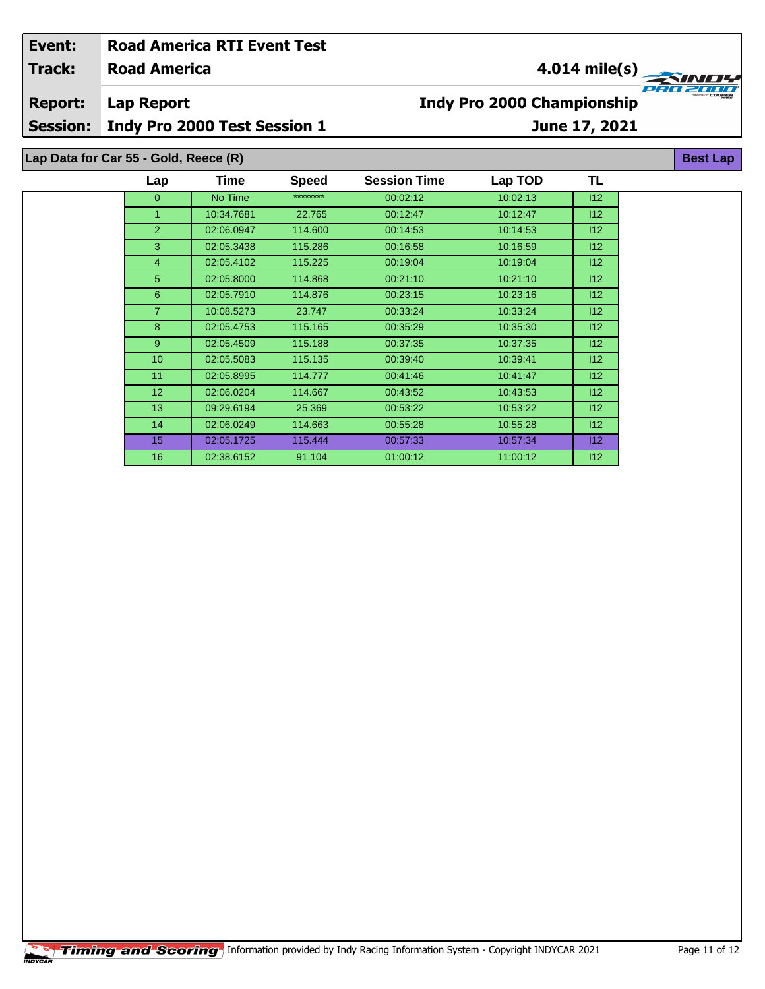| Event:<br><b>Track:</b> | <b>Road America</b>                   | <b>Road America RTI Event Test</b> |              |                                            |          | 4.014 mile(s) |                 |  |  |
|-------------------------|---------------------------------------|------------------------------------|--------------|--------------------------------------------|----------|---------------|-----------------|--|--|
| <b>Report:</b>          | <b>Lap Report</b>                     |                                    |              | e e t<br><b>Indy Pro 2000 Championship</b> |          |               |                 |  |  |
| <b>Session:</b>         |                                       | Indy Pro 2000 Test Session 1       |              | June 17, 2021                              |          |               |                 |  |  |
|                         | Lap Data for Car 55 - Gold, Reece (R) |                                    |              |                                            |          |               | <b>Best Lap</b> |  |  |
|                         | Lap                                   | Time                               | <b>Speed</b> | <b>Session Time</b>                        | Lap TOD  | TL            |                 |  |  |
|                         | $\Omega$                              | No Time                            | ********     | 00:02:12                                   | 10:02:13 | 112           |                 |  |  |
|                         |                                       | 10:34.7681                         | 22.765       | 00:12:47                                   | 10:12:47 | 112           |                 |  |  |
|                         | $\overline{2}$                        | 02:06.0947                         | 114.600      | 00:14:53                                   | 10:14:53 | 112           |                 |  |  |
|                         | 3                                     | 02:05.3438                         | 115.286      | 00:16:58                                   | 10:16:59 | 112           |                 |  |  |
|                         | 4                                     | 02:05.4102                         | 115.225      | 00:19:04                                   | 10:19:04 | 112           |                 |  |  |
|                         | 5                                     | 02:05.8000                         | 114.868      | 00:21:10                                   | 10:21:10 | 112           |                 |  |  |
|                         | 6                                     | 02:05.7910                         | 114.876      | 00:23:15                                   | 10:23:16 | 112           |                 |  |  |
|                         | $\overline{7}$                        | 10:08.5273                         | 23.747       | 00:33:24                                   | 10:33:24 | 112           |                 |  |  |
|                         | 8                                     | 02:05.4753                         | 115.165      | 00:35:29                                   | 10:35:30 | 112           |                 |  |  |

 02:05.4509 115.188 00:37:35 10:37:35 I12 02:05.5083 115.135 00:39:40 10:39:41 I12 11 02:05.8995 114.777 00:41:46 10:41:47 10:41:47 12 02:06.0204 114.667 00:43:52 10:43:53 I12 09:29.6194 25.369 00:53:22 10:53:22 I12 02:06.0249 114.663 00:55:28 10:55:28 I12 02:05.1725 115.444 00:57:33 10:57:34 I12 02:38.6152 91.104 01:00:12 11:00:12 I12